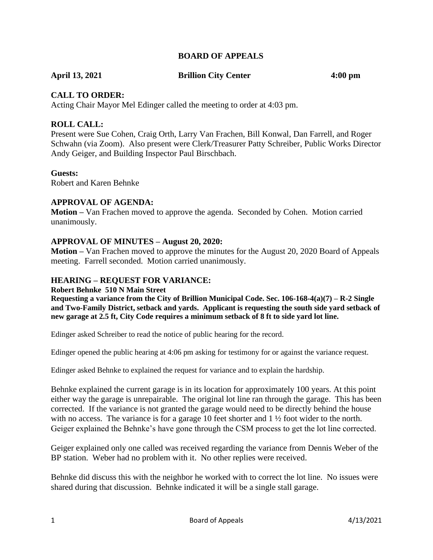## **BOARD OF APPEALS**

**April 13, 2021 Brillion City Center 4:00 pm**

## **CALL TO ORDER:**

Acting Chair Mayor Mel Edinger called the meeting to order at 4:03 pm.

## **ROLL CALL:**

Present were Sue Cohen, Craig Orth, Larry Van Frachen, Bill Konwal, Dan Farrell, and Roger Schwahn (via Zoom). Also present were Clerk/Treasurer Patty Schreiber, Public Works Director Andy Geiger, and Building Inspector Paul Birschbach.

## **Guests:**

Robert and Karen Behnke

## **APPROVAL OF AGENDA:**

**Motion –** Van Frachen moved to approve the agenda. Seconded by Cohen. Motion carried unanimously.

## **APPROVAL OF MINUTES – August 20, 2020:**

**Motion –** Van Frachen moved to approve the minutes for the August 20, 2020 Board of Appeals meeting. Farrell seconded. Motion carried unanimously.

## **HEARING – REQUEST FOR VARIANCE:**

#### **Robert Behnke 510 N Main Street**

**Requesting a variance from the City of Brillion Municipal Code. Sec. 106-168-4(a)(7) – R-2 Single and Two-Family District, setback and yards. Applicant is requesting the south side yard setback of new garage at 2.5 ft, City Code requires a minimum setback of 8 ft to side yard lot line.** 

Edinger asked Schreiber to read the notice of public hearing for the record.

Edinger opened the public hearing at 4:06 pm asking for testimony for or against the variance request.

Edinger asked Behnke to explained the request for variance and to explain the hardship.

Behnke explained the current garage is in its location for approximately 100 years. At this point either way the garage is unrepairable. The original lot line ran through the garage. This has been corrected. If the variance is not granted the garage would need to be directly behind the house with no access. The variance is for a garage 10 feet shorter and  $1 \frac{1}{2}$  foot wider to the north. Geiger explained the Behnke's have gone through the CSM process to get the lot line corrected.

Geiger explained only one called was received regarding the variance from Dennis Weber of the BP station. Weber had no problem with it. No other replies were received.

Behnke did discuss this with the neighbor he worked with to correct the lot line. No issues were shared during that discussion. Behnke indicated it will be a single stall garage.